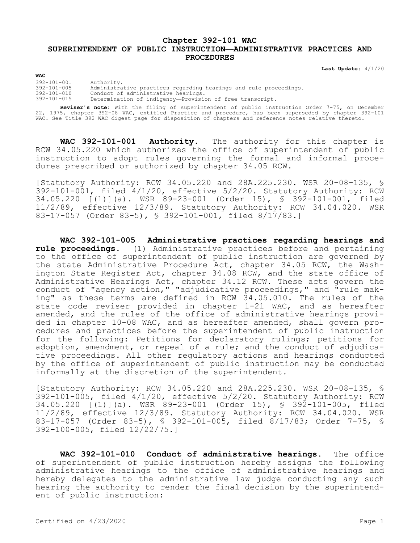## **Chapter 392-101 WAC SUPERINTENDENT OF PUBLIC INSTRUCTION—ADMINISTRATIVE PRACTICES AND PROCEDURES**

**Last Update:** 4/1/20

## **WAC**

392-101-001 Authority.  $392-101-005$  Administrative practices regarding hearings and rule proceedings.<br> $392-101-010$  Conduct of administrative hearings. 392-101-010 Conduct of administrative hearings. Determination of indigency—Provision of free transcript.

**Reviser's note:** With the filing of superintendent of public instruction Order 7-75, on December 22, 1975, chapter 392-08 WAC, entitled Practice and procedure, has been superseded by chapter 392-101 WAC. See Title 392 WAC digest page for disposition of chapters and reference notes relative thereto.

**WAC 392-101-001 Authority.** The authority for this chapter is RCW 34.05.220 which authorizes the office of superintendent of public instruction to adopt rules governing the formal and informal procedures prescribed or authorized by chapter 34.05 RCW.

[Statutory Authority: RCW 34.05.220 and 28A.225.230. WSR 20-08-135, § 392-101-001, filed 4/1/20, effective 5/2/20. Statutory Authority: RCW 34.05.220 [(1)](a). WSR 89-23-001 (Order 15), § 392-101-001, filed 11/2/89, effective 12/3/89. Statutory Authority: RCW 34.04.020. WSR 83-17-057 (Order 83-5), § 392-101-001, filed 8/17/83.]

**WAC 392-101-005 Administrative practices regarding hearings and rule proceedings.** (1) Administrative practices before and pertaining to the office of superintendent of public instruction are governed by the state Administrative Procedure Act, chapter 34.05 RCW, the Washington State Register Act, chapter 34.08 RCW, and the state office of Administrative Hearings Act, chapter 34.12 RCW. These acts govern the conduct of "agency action," "adjudicative proceedings," and "rule making" as these terms are defined in RCW 34.05.010. The rules of the state code reviser provided in chapter 1-21 WAC, and as hereafter amended, and the rules of the office of administrative hearings provided in chapter 10-08 WAC, and as hereafter amended, shall govern procedures and practices before the superintendent of public instruction for the following: Petitions for declaratory rulings; petitions for adoption, amendment, or repeal of a rule; and the conduct of adjudicative proceedings. All other regulatory actions and hearings conducted by the office of superintendent of public instruction may be conducted informally at the discretion of the superintendent.

[Statutory Authority: RCW 34.05.220 and 28A.225.230. WSR 20-08-135, § 392-101-005, filed 4/1/20, effective 5/2/20. Statutory Authority: RCW 34.05.220 [(1)](a). WSR 89-23-001 (Order 15), § 392-101-005, filed 11/2/89, effective 12/3/89. Statutory Authority: RCW 34.04.020. WSR 83-17-057 (Order 83-5), § 392-101-005, filed 8/17/83; Order 7-75, § 392-100-005, filed 12/22/75.]

**WAC 392-101-010 Conduct of administrative hearings.** The office of superintendent of public instruction hereby assigns the following administrative hearings to the office of administrative hearings and hereby delegates to the administrative law judge conducting any such hearing the authority to render the final decision by the superintendent of public instruction: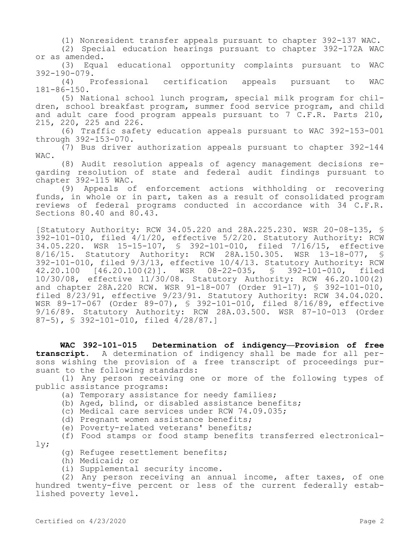(1) Nonresident transfer appeals pursuant to chapter 392-137 WAC.

(2) Special education hearings pursuant to chapter 392-172A WAC or as amended.

(3) Equal educational opportunity complaints pursuant to WAC  $392-190-079.$ <br>(4) P

Professional certification appeals pursuant to WAC 181-86-150.

(5) National school lunch program, special milk program for children, school breakfast program, summer food service program, and child and adult care food program appeals pursuant to 7 C.F.R. Parts 210, 215, 220, 225 and 226.

(6) Traffic safety education appeals pursuant to WAC 392-153-001 through 392-153-070.

(7) Bus driver authorization appeals pursuant to chapter 392-144 WAC.

(8) Audit resolution appeals of agency management decisions regarding resolution of state and federal audit findings pursuant to chapter 392-115 WAC.

(9) Appeals of enforcement actions withholding or recovering funds, in whole or in part, taken as a result of consolidated program reviews of federal programs conducted in accordance with 34 C.F.R. Sections 80.40 and 80.43.

[Statutory Authority: RCW 34.05.220 and 28A.225.230. WSR 20-08-135, § 392-101-010, filed 4/1/20, effective 5/2/20. Statutory Authority: RCW 34.05.220. WSR 15-15-107, § 392-101-010, filed 7/16/15, effective 8/16/15. Statutory Authority: RCW 28A.150.305. WSR 13-18-077, § 392-101-010, filed 9/3/13, effective 10/4/13. Statutory Authority: RCW<br>42.20.100 [46.20.100(2)]. WSR 08-22-035, § 392-101-010, filed 42.20.100 [46.20.100(2)]. WSR 08-22-035, 10/30/08, effective 11/30/08. Statutory Authority: RCW 46.20.100(2) and chapter 28A.220 RCW. WSR 91-18-007 (Order 91-17), § 392-101-010, filed 8/23/91, effective 9/23/91. Statutory Authority: RCW 34.04.020. WSR 89-17-067 (Order 89-07), § 392-101-010, filed 8/16/89, effective 9/16/89. Statutory Authority: RCW 28A.03.500. WSR 87-10-013 (Order 87-5), § 392-101-010, filed 4/28/87.]

**WAC 392-101-015 Determination of indigency—Provision of free transcript.** A determination of indigency shall be made for all persons wishing the provision of a free transcript of proceedings pursuant to the following standards:

(1) Any person receiving one or more of the following types of public assistance programs:

- (a) Temporary assistance for needy families;
- (b) Aged, blind, or disabled assistance benefits;
- (c) Medical care services under RCW 74.09.035;
- (d) Pregnant women assistance benefits;
- (e) Poverty-related veterans' benefits;

(f) Food stamps or food stamp benefits transferred electronically;

- (g) Refugee resettlement benefits;
- (h) Medicaid; or
- (i) Supplemental security income.

(2) Any person receiving an annual income, after taxes, of one hundred twenty-five percent or less of the current federally established poverty level.